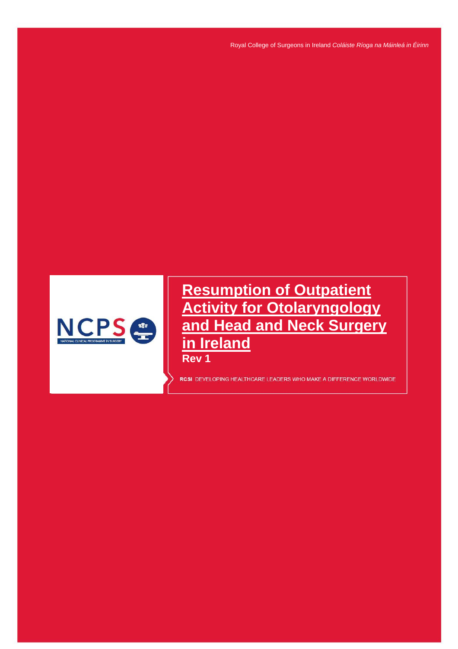Royal College of Surgeons in Ireland *Coláiste Ríoga na Máinleá in Éirinn*



**Resumption of Outpatient Activity for Otolaryngology and Head and Neck Surgery in Ireland**

**Rev 1**

Resumption of Outpatient Activity for Otolaryngology and Head and Neck Surgery in Ireland Rev 1

RCSI DEVELOPING HEALTHCARE LEADERS WHO MAKE A DIFFERENCE WORLDWIDE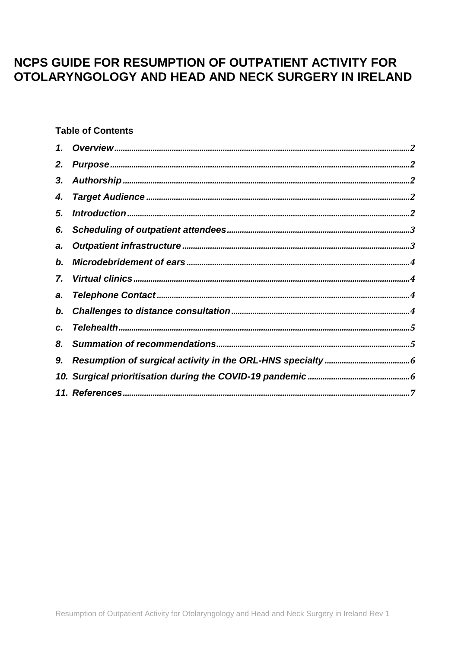# NCPS GUIDE FOR RESUMPTION OF OUTPATIENT ACTIVITY FOR OTOLARYNGOLOGY AND HEAD AND NECK SURGERY IN IRELAND

# **Table of Contents**

| 2.         |  |
|------------|--|
| 3.         |  |
| 4.         |  |
| 5.         |  |
| 6.         |  |
| a.         |  |
| $\bm{b}$ . |  |
| 7.         |  |
| a.         |  |
| b.         |  |
| C.         |  |
| 8.         |  |
|            |  |
|            |  |
|            |  |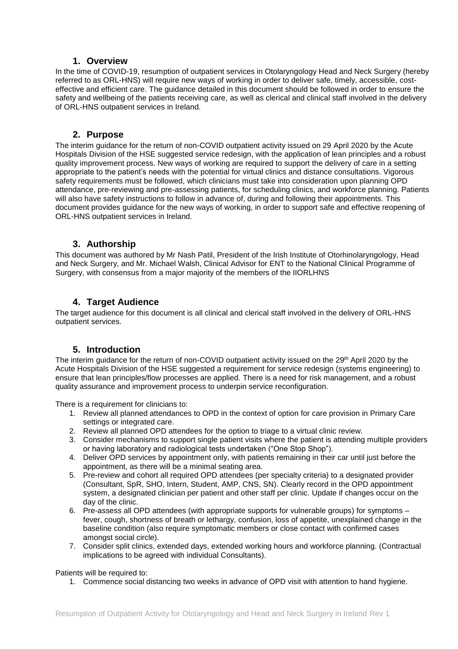## **1. Overview**

<span id="page-2-0"></span>In the time of COVID-19, resumption of outpatient services in Otolaryngology Head and Neck Surgery (hereby referred to as ORL-HNS) will require new ways of working in order to deliver safe, timely, accessible, costeffective and efficient care. The guidance detailed in this document should be followed in order to ensure the safety and wellbeing of the patients receiving care, as well as clerical and clinical staff involved in the delivery of ORL-HNS outpatient services in Ireland.

## **2. Purpose**

<span id="page-2-1"></span>The interim guidance for the return of non-COVID outpatient activity issued on 29 April 2020 by the Acute Hospitals Division of the HSE suggested service redesign, with the application of lean principles and a robust quality improvement process. New ways of working are required to support the delivery of care in a setting appropriate to the patient's needs with the potential for virtual clinics and distance consultations. Vigorous safety requirements must be followed, which clinicians must take into consideration upon planning OPD attendance, pre-reviewing and pre-assessing patients, for scheduling clinics, and workforce planning. Patients will also have safety instructions to follow in advance of, during and following their appointments. This document provides guidance for the new ways of working, in order to support safe and effective reopening of ORL-HNS outpatient services in Ireland.

### **3. Authorship**

<span id="page-2-2"></span>This document was authored by Mr Nash Patil, President of the Irish Institute of Otorhinolaryngology, Head and Neck Surgery, and Mr. Michael Walsh, Clinical Advisor for ENT to the National Clinical Programme of Surgery, with consensus from a major majority of the members of the IIORLHNS

## **4. Target Audience**

<span id="page-2-3"></span>The target audience for this document is all clinical and clerical staff involved in the delivery of ORL-HNS outpatient services.

## **5. Introduction**

<span id="page-2-4"></span>The interim guidance for the return of non-COVID outpatient activity issued on the 29th April 2020 by the Acute Hospitals Division of the HSE suggested a requirement for service redesign (systems engineering) to ensure that lean principles/flow processes are applied. There is a need for risk management, and a robust quality assurance and improvement process to underpin service reconfiguration.

There is a requirement for clinicians to:

- 1. Review all planned attendances to OPD in the context of option for care provision in Primary Care settings or integrated care.
- 2. Review all planned OPD attendees for the option to triage to a virtual clinic review.
- 3. Consider mechanisms to support single patient visits where the patient is attending multiple providers or having laboratory and radiological tests undertaken ("One Stop Shop").
- 4. Deliver OPD services by appointment only, with patients remaining in their car until just before the appointment, as there will be a minimal seating area.
- 5. Pre-review and cohort all required OPD attendees (per specialty criteria) to a designated provider (Consultant, SpR, SHO, Intern, Student, AMP, CNS, SN). Clearly record in the OPD appointment system, a designated clinician per patient and other staff per clinic. Update if changes occur on the day of the clinic.
- 6. Pre-assess all OPD attendees (with appropriate supports for vulnerable groups) for symptoms fever, cough, shortness of breath or lethargy, confusion, loss of appetite, unexplained change in the baseline condition (also require symptomatic members or close contact with confirmed cases amongst social circle).
- 7. Consider split clinics, extended days, extended working hours and workforce planning. (Contractual implications to be agreed with individual Consultants).

#### Patients will be required to:

1. Commence social distancing two weeks in advance of OPD visit with attention to hand hygiene.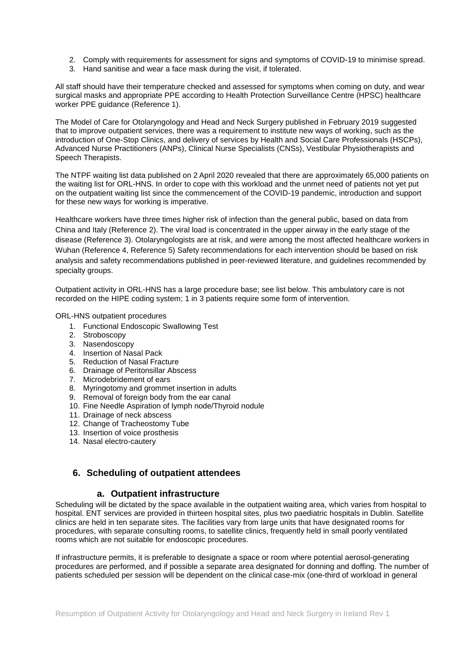- 2. Comply with requirements for assessment for signs and symptoms of COVID-19 to minimise spread.
- 3. Hand sanitise and wear a face mask during the visit, if tolerated.

All staff should have their temperature checked and assessed for symptoms when coming on duty, and wear surgical masks and appropriate PPE according to Health Protection Surveillance Centre (HPSC) healthcare worker PPE guidance (Reference 1).

The Model of Care for Otolaryngology and Head and Neck Surgery published in February 2019 suggested that to improve outpatient services, there was a requirement to institute new ways of working, such as the introduction of One-Stop Clinics, and delivery of services by Health and Social Care Professionals (HSCPs), Advanced Nurse Practitioners (ANPs), Clinical Nurse Specialists (CNSs), Vestibular Physiotherapists and Speech Therapists.

The NTPF waiting list data published on 2 April 2020 revealed that there are approximately 65,000 patients on the waiting list for ORL-HNS. In order to cope with this workload and the unmet need of patients not yet put on the outpatient waiting list since the commencement of the COVID-19 pandemic, introduction and support for these new ways for working is imperative.

Healthcare workers have three times higher risk of infection than the general public, based on data from China and Italy (Reference 2). The viral load is concentrated in the upper airway in the early stage of the disease (Reference 3). Otolaryngologists are at risk, and were among the most affected healthcare workers in Wuhan (Reference 4, Reference 5) Safety recommendations for each intervention should be based on risk analysis and safety recommendations published in peer-reviewed literature, and guidelines recommended by specialty groups.

Outpatient activity in ORL-HNS has a large procedure base; see list below. This ambulatory care is not recorded on the HIPE coding system; 1 in 3 patients require some form of intervention.

ORL-HNS outpatient procedures

- 1. Functional Endoscopic Swallowing Test
- 2. Stroboscopy
- 3. Nasendoscopy
- 4. Insertion of Nasal Pack
- 5. Reduction of Nasal Fracture
- 6. Drainage of Peritonsillar Abscess
- 7. Microdebridement of ears
- 8. Myringotomy and grommet insertion in adults
- 9. Removal of foreign body from the ear canal
- 10. Fine Needle Aspiration of lymph node/Thyroid nodule
- 11. Drainage of neck abscess
- 12. Change of Tracheostomy Tube
- 13. Insertion of voice prosthesis
- 14. Nasal electro-cautery

# <span id="page-3-0"></span>**6. Scheduling of outpatient attendees**

#### **a. Outpatient infrastructure**

<span id="page-3-1"></span>Scheduling will be dictated by the space available in the outpatient waiting area, which varies from hospital to hospital. ENT services are provided in thirteen hospital sites, plus two paediatric hospitals in Dublin. Satellite clinics are held in ten separate sites. The facilities vary from large units that have designated rooms for procedures, with separate consulting rooms, to satellite clinics, frequently held in small poorly ventilated rooms which are not suitable for endoscopic procedures.

If infrastructure permits, it is preferable to designate a space or room where potential aerosol-generating procedures are performed, and if possible a separate area designated for donning and doffing. The number of patients scheduled per session will be dependent on the clinical case-mix (one-third of workload in general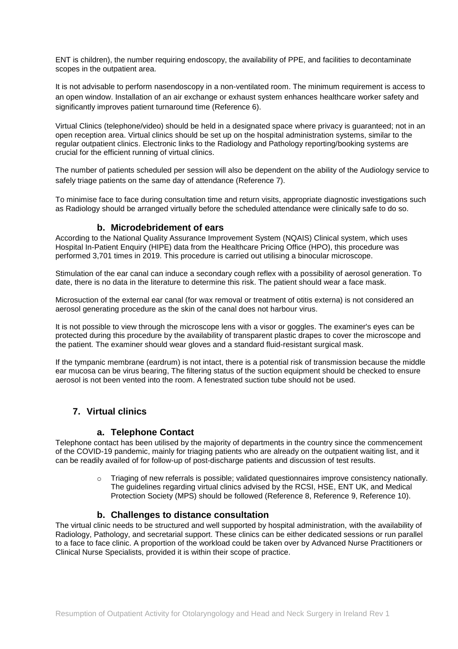ENT is children), the number requiring endoscopy, the availability of PPE, and facilities to decontaminate scopes in the outpatient area.

It is not advisable to perform nasendoscopy in a non-ventilated room. The minimum requirement is access to an open window. Installation of an air exchange or exhaust system enhances healthcare worker safety and significantly improves patient turnaround time (Reference 6).

Virtual Clinics (telephone/video) should be held in a designated space where privacy is guaranteed; not in an open reception area. Virtual clinics should be set up on the hospital administration systems, similar to the regular outpatient clinics. Electronic links to the Radiology and Pathology reporting/booking systems are crucial for the efficient running of virtual clinics.

The number of patients scheduled per session will also be dependent on the ability of the Audiology service to safely triage patients on the same day of attendance (Reference 7).

<span id="page-4-0"></span>To minimise face to face during consultation time and return visits, appropriate diagnostic investigations such as Radiology should be arranged virtually before the scheduled attendance were clinically safe to do so.

## **b. Microdebridement of ears**

According to the National Quality Assurance Improvement System (NQAIS) Clinical system, which uses Hospital In-Patient Enquiry (HIPE) data from the Healthcare Pricing Office (HPO), this procedure was performed 3,701 times in 2019. This procedure is carried out utilising a binocular microscope.

Stimulation of the ear canal can induce a secondary cough reflex with a possibility of aerosol generation. To date, there is no data in the literature to determine this risk. The patient should wear a face mask.

Microsuction of the external ear canal (for wax removal or treatment of otitis externa) is not considered an aerosol generating procedure as the skin of the canal does not harbour virus.

It is not possible to view through the microscope lens with a visor or goggles. The examiner's eyes can be protected during this procedure by the availability of transparent plastic drapes to cover the microscope and the patient. The examiner should wear gloves and a standard fluid-resistant surgical mask.

If the tympanic membrane (eardrum) is not intact, there is a potential risk of transmission because the middle ear mucosa can be virus bearing, The filtering status of the suction equipment should be checked to ensure aerosol is not been vented into the room. A fenestrated suction tube should not be used.

# <span id="page-4-1"></span>**7. Virtual clinics**

#### **a. Telephone Contact**

<span id="page-4-2"></span>Telephone contact has been utilised by the majority of departments in the country since the commencement of the COVID-19 pandemic, mainly for triaging patients who are already on the outpatient waiting list, and it can be readily availed of for follow-up of post-discharge patients and discussion of test results.

> $\circ$  Triaging of new referrals is possible; validated questionnaires improve consistency nationally. The guidelines regarding virtual clinics advised by the RCSI, HSE, ENT UK, and Medical Protection Society (MPS) should be followed (Reference 8, Reference 9, Reference 10).

## **b. Challenges to distance consultation**

<span id="page-4-3"></span>The virtual clinic needs to be structured and well supported by hospital administration, with the availability of Radiology, Pathology, and secretarial support. These clinics can be either dedicated sessions or run parallel to a face to face clinic. A proportion of the workload could be taken over by Advanced Nurse Practitioners or Clinical Nurse Specialists, provided it is within their scope of practice.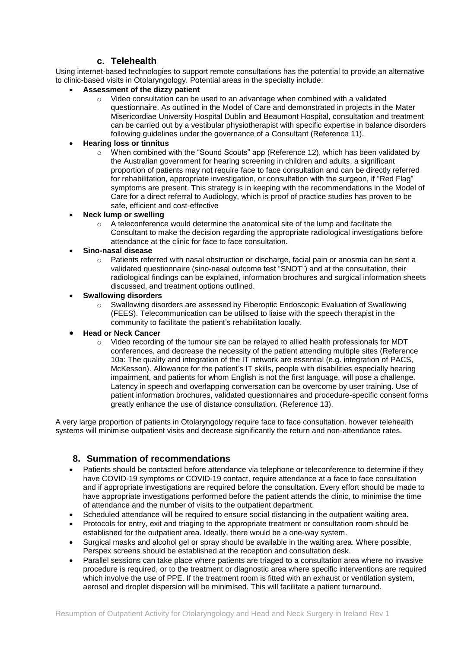# **c. Telehealth**

<span id="page-5-0"></span>Using internet-based technologies to support remote consultations has the potential to provide an alternative to clinic-based visits in Otolaryngology. Potential areas in the specialty include:

- **Assessment of the dizzy patient**
	- $\circ$  Video consultation can be used to an advantage when combined with a validated questionnaire. As outlined in the Model of Care and demonstrated in projects in the Mater Misericordiae University Hospital Dublin and Beaumont Hospital, consultation and treatment can be carried out by a vestibular physiotherapist with specific expertise in balance disorders following guidelines under the governance of a Consultant (Reference 11).

## **Hearing loss or tinnitus**

 $\circ$  When combined with the "Sound Scouts" app (Reference 12), which has been validated by the Australian government for hearing screening in children and adults, a significant proportion of patients may not require face to face consultation and can be directly referred for rehabilitation, appropriate investigation, or consultation with the surgeon, if "Red Flag" symptoms are present. This strategy is in keeping with the recommendations in the Model of Care for a direct referral to Audiology, which is proof of practice studies has proven to be safe, efficient and cost-effective

#### **Neck lump or swelling**

 $\circ$  A teleconference would determine the anatomical site of the lump and facilitate the Consultant to make the decision regarding the appropriate radiological investigations before attendance at the clinic for face to face consultation.

## **Sino-nasal disease**

 $\circ$  Patients referred with nasal obstruction or discharge, facial pain or anosmia can be sent a validated questionnaire (sino-nasal outcome test "SNOT") and at the consultation, their radiological findings can be explained, information brochures and surgical information sheets discussed, and treatment options outlined.

#### **Swallowing disorders**

o Swallowing disorders are assessed by Fiberoptic Endoscopic Evaluation of Swallowing (FEES). Telecommunication can be utilised to liaise with the speech therapist in the community to facilitate the patient's rehabilitation locally.

#### **Head or Neck Cancer**

o Video recording of the tumour site can be relayed to allied health professionals for MDT conferences, and decrease the necessity of the patient attending multiple sites (Reference 10a: The quality and integration of the IT network are essential (e.g. integration of PACS, McKesson). Allowance for the patient's IT skills, people with disabilities especially hearing impairment, and patients for whom English is not the first language, will pose a challenge. Latency in speech and overlapping conversation can be overcome by user training. Use of patient information brochures, validated questionnaires and procedure-specific consent forms greatly enhance the use of distance consultation. (Reference 13).

A very large proportion of patients in Otolaryngology require face to face consultation, however telehealth systems will minimise outpatient visits and decrease significantly the return and non-attendance rates.

## <span id="page-5-1"></span>**8. Summation of recommendations**

- Patients should be contacted before attendance via telephone or teleconference to determine if they have COVID-19 symptoms or COVID-19 contact, require attendance at a face to face consultation and if appropriate investigations are required before the consultation. Every effort should be made to have appropriate investigations performed before the patient attends the clinic, to minimise the time of attendance and the number of visits to the outpatient department.
- Scheduled attendance will be required to ensure social distancing in the outpatient waiting area.
- Protocols for entry, exit and triaging to the appropriate treatment or consultation room should be established for the outpatient area. Ideally, there would be a one-way system.
- Surgical masks and alcohol gel or spray should be available in the waiting area. Where possible, Perspex screens should be established at the reception and consultation desk.
- Parallel sessions can take place where patients are triaged to a consultation area where no invasive procedure is required, or to the treatment or diagnostic area where specific interventions are required which involve the use of PPE. If the treatment room is fitted with an exhaust or ventilation system, aerosol and droplet dispersion will be minimised. This will facilitate a patient turnaround.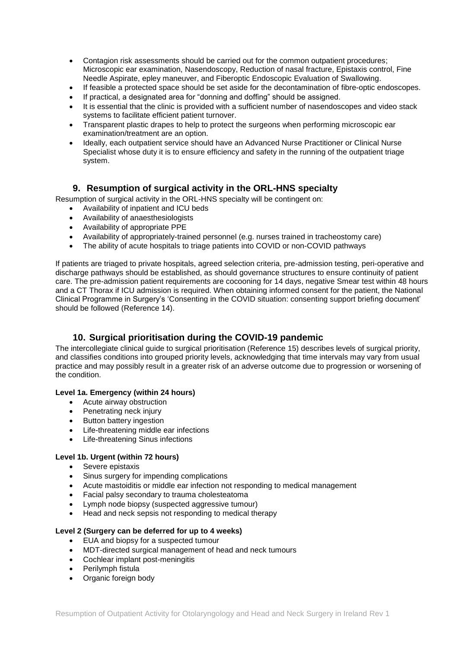- Contagion risk assessments should be carried out for the common outpatient procedures; Microscopic ear examination, Nasendoscopy, Reduction of nasal fracture, Epistaxis control, Fine Needle Aspirate, epley maneuver, and Fiberoptic Endoscopic Evaluation of Swallowing.
- If feasible a protected space should be set aside for the decontamination of fibre-optic endoscopes.
- If practical, a designated area for "donning and doffing" should be assigned.
- It is essential that the clinic is provided with a sufficient number of nasendoscopes and video stack systems to facilitate efficient patient turnover.
- Transparent plastic drapes to help to protect the surgeons when performing microscopic ear examination/treatment are an option.
- Ideally, each outpatient service should have an Advanced Nurse Practitioner or Clinical Nurse Specialist whose duty it is to ensure efficiency and safety in the running of the outpatient triage system.

# **9. Resumption of surgical activity in the ORL-HNS specialty**

<span id="page-6-0"></span>Resumption of surgical activity in the ORL-HNS specialty will be contingent on:

- Availability of inpatient and ICU beds
- Availability of anaesthesiologists
- Availability of appropriate PPE
- Availability of appropriately-trained personnel (e.g. nurses trained in tracheostomy care)
- The ability of acute hospitals to triage patients into COVID or non-COVID pathways

If patients are triaged to private hospitals, agreed selection criteria, pre-admission testing, peri-operative and discharge pathways should be established, as should governance structures to ensure continuity of patient care. The pre-admission patient requirements are cocooning for 14 days, negative Smear test within 48 hours and a CT Thorax if ICU admission is required. When obtaining informed consent for the patient, the National Clinical Programme in Surgery's 'Consenting in the COVID situation: consenting support briefing document' should be followed (Reference 14).

# <span id="page-6-1"></span>**10. Surgical prioritisation during the COVID-19 pandemic**

The intercollegiate clinical guide to surgical prioritisation (Reference 15) describes levels of surgical priority, and classifies conditions into grouped priority levels, acknowledging that time intervals may vary from usual practice and may possibly result in a greater risk of an adverse outcome due to progression or worsening of the condition.

## **Level 1a. Emergency (within 24 hours)**

- Acute airway obstruction
- Penetrating neck injury
- Button battery ingestion
- Life-threatening middle ear infections
- Life-threatening Sinus infections

#### **Level 1b. Urgent (within 72 hours)**

- Severe epistaxis
- Sinus surgery for impending complications
- Acute mastoiditis or middle ear infection not responding to medical management
- Facial palsy secondary to trauma cholesteatoma
- Lymph node biopsy (suspected aggressive tumour)
- Head and neck sepsis not responding to medical therapy

#### **Level 2 (Surgery can be deferred for up to 4 weeks)**

- EUA and biopsy for a suspected tumour
- MDT-directed surgical management of head and neck tumours
- Cochlear implant post-meningitis
- Perilymph fistula
- Organic foreign body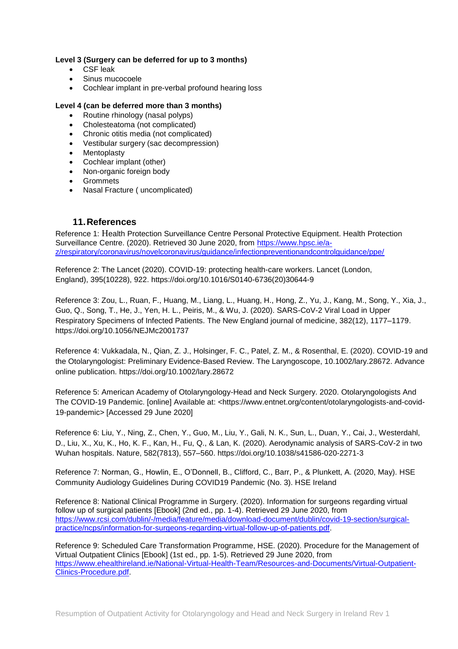#### **Level 3 (Surgery can be deferred for up to 3 months)**

- CSF leak
- Sinus mucocoele
- Cochlear implant in pre-verbal profound hearing loss

#### **Level 4 (can be deferred more than 3 months)**

- Routine rhinology (nasal polyps)
- Cholesteatoma (not complicated)
- Chronic otitis media (not complicated)
- Vestibular surgery (sac decompression)
- Mentoplasty
- Cochlear implant (other)
- Non-organic foreign body
- Grommets
- Nasal Fracture ( uncomplicated)

### <span id="page-7-0"></span>**11.References**

Reference 1: Health Protection Surveillance Centre Personal Protective Equipment. Health Protection Surveillance Centre. (2020). Retrieved 30 June 2020, from [https://www.hpsc.ie/a](https://www.hpsc.ie/a-z/respiratory/coronavirus/novelcoronavirus/guidance/infectionpreventionandcontrolguidance/ppe/)[z/respiratory/coronavirus/novelcoronavirus/guidance/infectionpreventionandcontrolguidance/ppe/](https://www.hpsc.ie/a-z/respiratory/coronavirus/novelcoronavirus/guidance/infectionpreventionandcontrolguidance/ppe/)

Reference 2: The Lancet (2020). COVID-19: protecting health-care workers. Lancet (London, England), 395(10228), 922. [https://doi.org/10.1016/S0140-6736\(20\)30644-9](https://doi.org/10.1016/S0140-6736(20)30644-9)

Reference 3: Zou, L., Ruan, F., Huang, M., Liang, L., Huang, H., Hong, Z., Yu, J., Kang, M., Song, Y., Xia, J., Guo, Q., Song, T., He, J., Yen, H. L., Peiris, M., & Wu, J. (2020). SARS-CoV-2 Viral Load in Upper Respiratory Specimens of Infected Patients. The New England journal of medicine, 382(12), 1177–1179. <https://doi.org/10.1056/NEJMc2001737>

Reference 4: Vukkadala, N., Qian, Z. J., Holsinger, F. C., Patel, Z. M., & Rosenthal, E. (2020). COVID-19 and the Otolaryngologist: Preliminary Evidence-Based Review. The Laryngoscope, 10.1002/lary.28672. Advance online publication.<https://doi.org/10.1002/lary.28672>

Reference 5: American Academy of Otolaryngology-Head and Neck Surgery. 2020. Otolaryngologists And The COVID-19 Pandemic. [online] Available at: <https://www.entnet.org/content/otolaryngologists-and-covid-19-pandemic> [Accessed 29 June 2020]

Reference 6: Liu, Y., Ning, Z., Chen, Y., Guo, M., Liu, Y., Gali, N. K., Sun, L., Duan, Y., Cai, J., Westerdahl, D., Liu, X., Xu, K., Ho, K. F., Kan, H., Fu, Q., & Lan, K. (2020). Aerodynamic analysis of SARS-CoV-2 in two Wuhan hospitals. Nature, 582(7813), 557–560.<https://doi.org/10.1038/s41586-020-2271-3>

Reference 7: Norman, G., Howlin, E., O'Donnell, B., Clifford, C., Barr, P., & Plunkett, A. (2020, May). HSE Community Audiology Guidelines During COVID19 Pandemic (No. 3). HSE Ireland

Reference 8: National Clinical Programme in Surgery. (2020). Information for surgeons regarding virtual follow up of surgical patients [Ebook] (2nd ed., pp. 1-4). Retrieved 29 June 2020, from [https://www.rcsi.com/dublin/-/media/feature/media/download-document/dublin/covid-19-section/surgical](https://www.rcsi.com/dublin/-/media/feature/media/download-document/dublin/covid-19-section/surgical-practice/ncps/information-for-surgeons-regarding-virtual-follow-up-of-patients.pdf)[practice/ncps/information-for-surgeons-regarding-virtual-follow-up-of-patients.pdf.](https://www.rcsi.com/dublin/-/media/feature/media/download-document/dublin/covid-19-section/surgical-practice/ncps/information-for-surgeons-regarding-virtual-follow-up-of-patients.pdf)

Reference 9: Scheduled Care Transformation Programme, HSE. (2020). Procedure for the Management of Virtual Outpatient Clinics [Ebook] (1st ed., pp. 1-5). Retrieved 29 June 2020, from [https://www.ehealthireland.ie/National-Virtual-Health-Team/Resources-and-Documents/Virtual-Outpatient-](https://www.ehealthireland.ie/National-Virtual-Health-Team/Resources-and-Documents/Virtual-Outpatient-Clinics-Procedure.pdf)[Clinics-Procedure.pdf.](https://www.ehealthireland.ie/National-Virtual-Health-Team/Resources-and-Documents/Virtual-Outpatient-Clinics-Procedure.pdf)